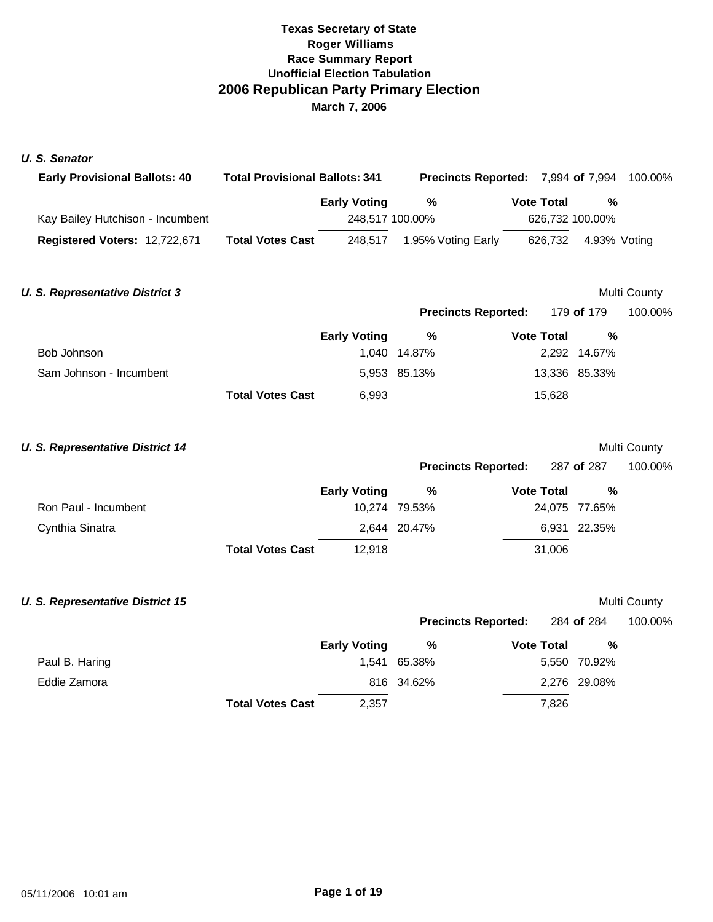| U. S. Senator                           |                                       |                     |                            |                                    |               |                         |
|-----------------------------------------|---------------------------------------|---------------------|----------------------------|------------------------------------|---------------|-------------------------|
| <b>Early Provisional Ballots: 40</b>    | <b>Total Provisional Ballots: 341</b> |                     |                            | Precincts Reported: 7,994 of 7,994 |               | 100.00%                 |
|                                         |                                       | <b>Early Voting</b> | %                          | <b>Vote Total</b>                  | %             |                         |
| Kay Bailey Hutchison - Incumbent        |                                       | 248,517 100.00%     |                            | 626,732 100.00%                    |               |                         |
| Registered Voters: 12,722,671           | <b>Total Votes Cast</b>               | 248,517             | 1.95% Voting Early         | 626,732                            | 4.93% Voting  |                         |
| <b>U. S. Representative District 3</b>  |                                       |                     |                            |                                    |               | Multi County            |
|                                         |                                       |                     | <b>Precincts Reported:</b> |                                    | 179 of 179    | 100.00%                 |
|                                         |                                       | <b>Early Voting</b> | %                          | <b>Vote Total</b>                  | %             |                         |
| Bob Johnson                             |                                       |                     | 1,040 14.87%               |                                    | 2,292 14.67%  |                         |
| Sam Johnson - Incumbent                 |                                       |                     | 5,953 85.13%               |                                    | 13,336 85.33% |                         |
|                                         | <b>Total Votes Cast</b>               | 6,993               |                            | 15,628                             |               |                         |
| <b>U. S. Representative District 14</b> |                                       |                     | <b>Precincts Reported:</b> |                                    | 287 of 287    | Multi County<br>100.00% |
|                                         |                                       | <b>Early Voting</b> | %                          | <b>Vote Total</b>                  | %             |                         |
| Ron Paul - Incumbent                    |                                       |                     | 10,274 79.53%              |                                    | 24,075 77.65% |                         |
| Cynthia Sinatra                         |                                       |                     | 2,644 20.47%               |                                    | 6,931 22.35%  |                         |
|                                         | <b>Total Votes Cast</b>               | 12,918              |                            | 31,006                             |               |                         |
| <b>U. S. Representative District 15</b> |                                       |                     |                            |                                    |               | Multi County            |
|                                         |                                       |                     | <b>Precincts Reported:</b> |                                    | 284 of 284    | 100.00%                 |
|                                         |                                       | <b>Early Voting</b> | %                          | <b>Vote Total</b>                  | %             |                         |
| Paul B. Haring                          |                                       | 1,541               | 65.38%                     |                                    | 5,550 70.92%  |                         |
| Eddie Zamora                            |                                       |                     | 816 34.62%                 |                                    | 2,276 29.08%  |                         |
|                                         | <b>Total Votes Cast</b>               | 2,357               |                            | 7,826                              |               |                         |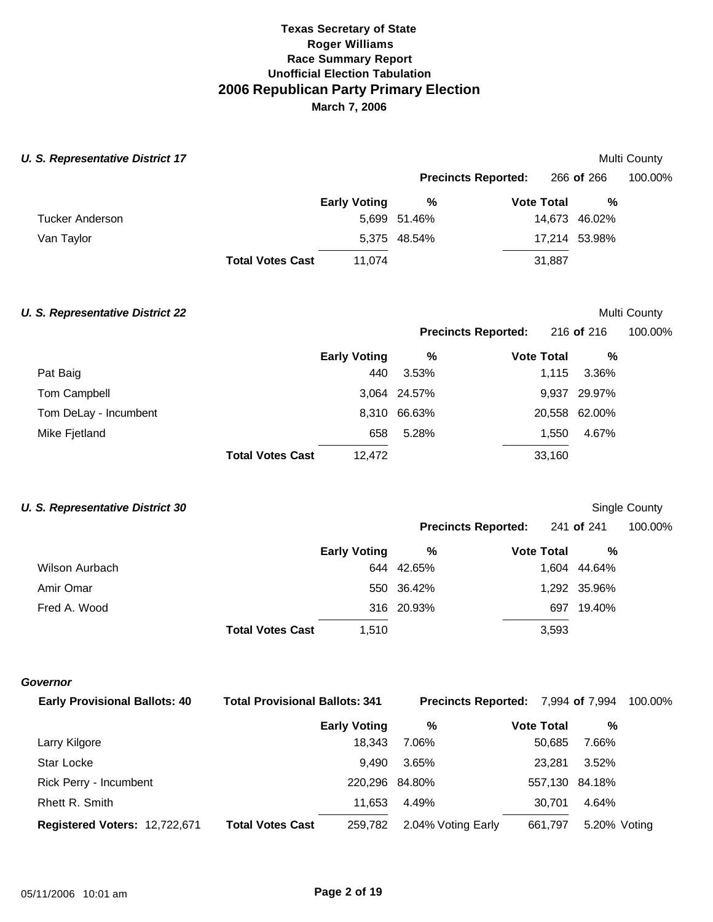|  | <b>U. S. Representative District 17</b> |  |  |
|--|-----------------------------------------|--|--|
|--|-----------------------------------------|--|--|

| <b>U. S. Representative District 17</b> |                         |                     |                            |                   |            |               | Multi County |
|-----------------------------------------|-------------------------|---------------------|----------------------------|-------------------|------------|---------------|--------------|
|                                         |                         |                     | <b>Precincts Reported:</b> |                   | 266 of 266 |               | 100.00%      |
|                                         |                         | <b>Early Voting</b> | %                          | <b>Vote Total</b> |            | %             |              |
| Tucker Anderson                         |                         |                     | 5,699 51.46%               |                   |            | 14,673 46.02% |              |
| Van Taylor                              |                         |                     | 5,375 48.54%               |                   |            | 17,214 53.98% |              |
|                                         | <b>Total Votes Cast</b> | 11.074              |                            |                   | 31,887     |               |              |

#### **U. S. Representative District 22** Multi County

**Precincts Reported:** 216 **of** 216 100.00%

|                       |                         | <b>Early Voting</b> | %            | <b>Vote Total</b> | %             |
|-----------------------|-------------------------|---------------------|--------------|-------------------|---------------|
| Pat Baig              |                         | 440                 | 3.53%        | 1.115             | 3.36%         |
| Tom Campbell          |                         |                     | 3,064 24.57% |                   | 9,937 29.97%  |
| Tom DeLay - Incumbent |                         |                     | 8,310 66.63% |                   | 20,558 62.00% |
| Mike Fjetland         |                         | 658                 | 5.28%        | 1.550             | 4.67%         |
|                       | <b>Total Votes Cast</b> | 12,472              |              | 33,160            |               |

# **U. S. Representative District 30** Single County

|       |                     |                                        |  |                            | 100.00%                                                                             |
|-------|---------------------|----------------------------------------|--|----------------------------|-------------------------------------------------------------------------------------|
|       | %                   |                                        |  | %                          |                                                                                     |
|       |                     |                                        |  |                            |                                                                                     |
|       |                     |                                        |  |                            |                                                                                     |
|       |                     |                                        |  |                            |                                                                                     |
| 1,510 |                     |                                        |  |                            |                                                                                     |
|       | <b>Early Voting</b> | 644 42.65%<br>550 36.42%<br>316 20.93% |  | <b>Vote Total</b><br>3,593 | <b>Precincts Reported:</b> 241 of 241<br>1,604 44.64%<br>1,292 35.96%<br>697 19.40% |

#### *Governor*

| <b>Early Provisional Ballots: 40</b> | <b>Total Provisional Ballots: 341</b> |                     | <b>Precincts Reported: 7,994 of 7,994</b> |                   |                | 100.00% |
|--------------------------------------|---------------------------------------|---------------------|-------------------------------------------|-------------------|----------------|---------|
|                                      |                                       | <b>Early Voting</b> | %                                         | <b>Vote Total</b> | %              |         |
| Larry Kilgore                        |                                       | 18.343              | 7.06%                                     | 50.685            | 7.66%          |         |
| Star Locke                           |                                       | 9.490               | 3.65%                                     | 23.281            | 3.52%          |         |
| Rick Perry - Incumbent               |                                       | 220.296 84.80%      |                                           |                   | 557,130 84.18% |         |
| Rhett R. Smith                       |                                       | 11.653              | 4.49%                                     | 30.701            | 4.64%          |         |
| Registered Voters: 12,722,671        | <b>Total Votes Cast</b>               | 259,782             | 2.04% Voting Early                        | 661,797           | 5.20% Voting   |         |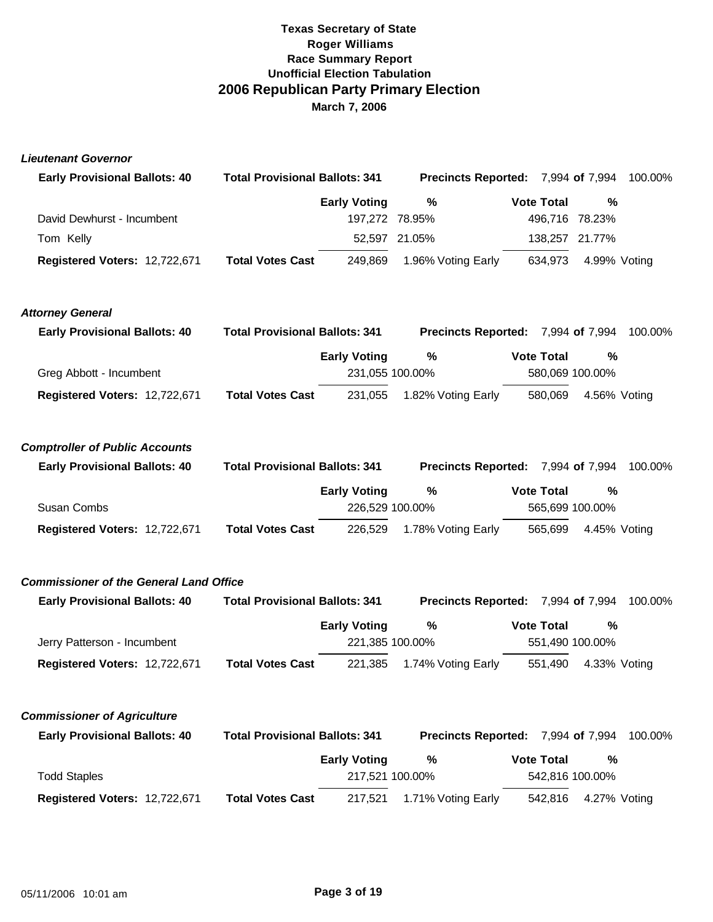| <b>Early Provisional Ballots: 40</b> | <b>Total Provisional Ballots: 341</b> | <b>Precincts Reported: 7,994 of 7,994 100.00%</b> |                   |                |  |
|--------------------------------------|---------------------------------------|---------------------------------------------------|-------------------|----------------|--|
|                                      | <b>Early Voting</b>                   | %                                                 | <b>Vote Total</b> | %              |  |
| David Dewhurst - Incumbent           |                                       | 197,272 78.95%                                    |                   | 496,716 78.23% |  |
| Tom Kelly                            |                                       | 52,597 21.05%                                     |                   | 138,257 21.77% |  |
| Registered Voters: 12,722,671        | <b>Total Votes Cast</b><br>249.869    | 1.96% Voting Early                                | 634,973           | 4.99% Voting   |  |

#### *Attorney General*

| <b>Early Provisional Ballots: 40</b> | <b>Total Provisional Ballots: 341</b> |                     | <b>Precincts Reported: 7,994 of 7,994</b> |                   |         |                 | 100.00% |
|--------------------------------------|---------------------------------------|---------------------|-------------------------------------------|-------------------|---------|-----------------|---------|
|                                      |                                       | <b>Early Voting</b> | %                                         | <b>Vote Total</b> |         | %               |         |
| Greg Abbott - Incumbent              |                                       | 231,055 100.00%     |                                           |                   |         | 580,069 100.00% |         |
| Registered Voters: 12,722,671        | <b>Total Votes Cast</b>               | 231,055             | 1.82% Voting Early                        |                   | 580.069 | 4.56% Votina    |         |

#### *Comptroller of Public Accounts*

| <b>Early Provisional Ballots: 40</b> | <b>Total Provisional Ballots: 341</b> |                               | <b>Precincts Reported:</b> 7,994 of 7,994 |                 |  |
|--------------------------------------|---------------------------------------|-------------------------------|-------------------------------------------|-----------------|--|
|                                      | <b>Early Voting</b>                   | %                             | <b>Vote Total</b>                         | %               |  |
| Susan Combs                          |                                       | 226,529 100.00%               |                                           | 565,699 100.00% |  |
| Registered Voters: 12,722,671        | <b>Total Votes Cast</b>               | 1.78% Voting Early<br>226.529 | 565.699                                   | 4.45% Voting    |  |

#### *Commissioner of the General Land Office*

| <b>Early Provisional Ballots: 40</b> | <b>Total Provisional Ballots: 341</b> |                     | <b>Precincts Reported: 7,994 of 7,994 100.00%</b> |                   |         |                 |  |
|--------------------------------------|---------------------------------------|---------------------|---------------------------------------------------|-------------------|---------|-----------------|--|
|                                      |                                       | <b>Early Voting</b> | %                                                 | <b>Vote Total</b> |         | %               |  |
| Jerry Patterson - Incumbent          |                                       | 221,385 100.00%     |                                                   |                   |         | 551,490 100.00% |  |
| Registered Voters: 12,722,671        | <b>Total Votes Cast</b>               |                     | 221,385 1.74% Voting Early                        |                   | 551,490 | 4.33% Voting    |  |

#### *Commissioner of Agriculture*

| <b>Early Provisional Ballots: 40</b> | <b>Total Provisional Ballots: 341</b> |                     | <b>Precincts Reported: 7,994 of 7,994</b> |                   |                      | 100.00% |  |
|--------------------------------------|---------------------------------------|---------------------|-------------------------------------------|-------------------|----------------------|---------|--|
|                                      |                                       | <b>Early Voting</b> | %                                         | <b>Vote Total</b> | %                    |         |  |
| <b>Todd Staples</b>                  |                                       | 217,521 100.00%     |                                           |                   | 542,816 100.00%      |         |  |
| Registered Voters: 12,722,671        | <b>Total Votes Cast</b>               |                     | 217,521 1.71% Voting Early                |                   | 542,816 4.27% Voting |         |  |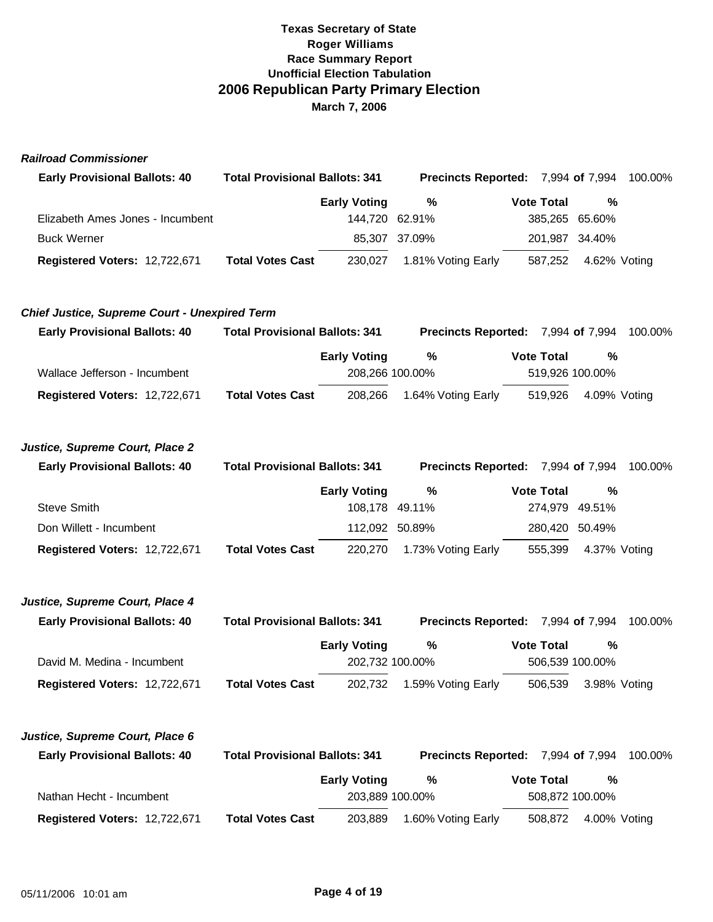| <b>Early Provisional Ballots: 40</b> | <b>Total Provisional Ballots: 341</b> |                     | <b>Precincts Reported: 7,994 of 7,994 100.00%</b> |                   |                |              |
|--------------------------------------|---------------------------------------|---------------------|---------------------------------------------------|-------------------|----------------|--------------|
|                                      |                                       | <b>Early Voting</b> | %                                                 | <b>Vote Total</b> | %              |              |
| Elizabeth Ames Jones - Incumbent     |                                       |                     | 144.720 62.91%                                    |                   | 385,265 65.60% |              |
| <b>Buck Werner</b>                   |                                       |                     | 85,307 37.09%                                     |                   | 201,987 34.40% |              |
| Registered Voters: 12,722,671        | <b>Total Votes Cast</b>               | 230.027             | 1.81% Voting Early                                | 587,252           |                | 4.62% Voting |

#### *Chief Justice, Supreme Court - Unexpired Term*

| <b>Early Provisional Ballots: 40</b> | <b>Total Provisional Ballots: 341</b> |                     |                    | <b>Precincts Reported: 7,994 of 7,994</b> |                   |                 | 100.00% |
|--------------------------------------|---------------------------------------|---------------------|--------------------|-------------------------------------------|-------------------|-----------------|---------|
|                                      |                                       | <b>Early Voting</b> | %                  |                                           | <b>Vote Total</b> | %               |         |
| Wallace Jefferson - Incumbent        |                                       | 208,266 100.00%     |                    |                                           |                   | 519,926 100.00% |         |
| Registered Voters: 12,722,671        | <b>Total Votes Cast</b>               | 208.266             | 1.64% Voting Early |                                           | 519.926           | 4.09% Voting    |         |

#### *Justice, Supreme Court, Place 2*

| <b>Early Provisional Ballots: 40</b> | <b>Total Provisional Ballots: 341</b> | <b>Precincts Reported: 7,994 of 7,994 100.00%</b> |                    |                   |                |  |
|--------------------------------------|---------------------------------------|---------------------------------------------------|--------------------|-------------------|----------------|--|
|                                      |                                       | <b>Early Voting</b>                               | %                  | <b>Vote Total</b> | %              |  |
| <b>Steve Smith</b>                   |                                       | 108,178 49.11%                                    |                    |                   | 274,979 49.51% |  |
| Don Willett - Incumbent              |                                       | 112,092 50.89%                                    |                    |                   | 280,420 50.49% |  |
| Registered Voters: 12,722,671        | <b>Total Votes Cast</b>               | 220.270                                           | 1.73% Voting Early | 555,399           | 4.37% Voting   |  |

#### *Justice, Supreme Court, Place 4*

| <b>Early Provisional Ballots: 40</b> | <b>Total Provisional Ballots: 341</b> |                     |                    | <b>Precincts Reported:</b> 7,994 of 7,994 |                 | 100.00% |
|--------------------------------------|---------------------------------------|---------------------|--------------------|-------------------------------------------|-----------------|---------|
|                                      |                                       | <b>Early Voting</b> | %                  | <b>Vote Total</b>                         | %               |         |
| David M. Medina - Incumbent          |                                       | 202.732 100.00%     |                    |                                           | 506,539 100.00% |         |
| Registered Voters: 12,722,671        | <b>Total Votes Cast</b>               | 202,732             | 1.59% Voting Early | 506,539                                   | 3.98% Voting    |         |

# *Justice, Supreme Court, Place 6*

| <b>Early Provisional Ballots: 40</b> | <b>Total Provisional Ballots: 341</b> |                     |                    | <b>Precincts Reported:</b> 7,994 of 7,994 |                 | 100.00%      |
|--------------------------------------|---------------------------------------|---------------------|--------------------|-------------------------------------------|-----------------|--------------|
|                                      |                                       | <b>Early Voting</b> | %                  | <b>Vote Total</b>                         | %               |              |
| Nathan Hecht - Incumbent             |                                       | 203.889 100.00%     |                    |                                           | 508,872 100.00% |              |
| Registered Voters: 12,722,671        | <b>Total Votes Cast</b>               | 203.889             | 1.60% Voting Early | 508.872                                   |                 | 4.00% Votina |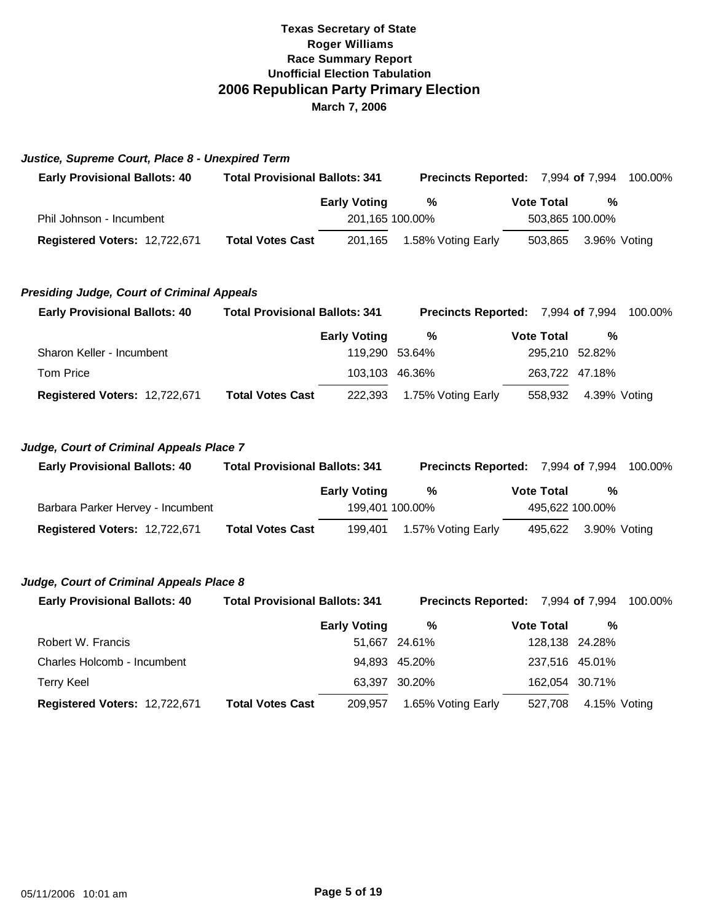#### *Justice, Supreme Court, Place 8 - Unexpired Term*

| <b>Early Provisional Ballots: 40</b> | <b>Total Provisional Ballots: 341</b> |                     |                    |                   | <b>Precincts Reported:</b> 7,994 of 7,994 |                 | 100.00% |
|--------------------------------------|---------------------------------------|---------------------|--------------------|-------------------|-------------------------------------------|-----------------|---------|
|                                      |                                       | <b>Early Voting</b> | %                  | <b>Vote Total</b> |                                           | %               |         |
| Phil Johnson - Incumbent             |                                       | 201,165 100.00%     |                    |                   |                                           | 503,865 100.00% |         |
| Registered Voters: 12,722,671        | <b>Total Votes Cast</b>               | 201,165             | 1.58% Voting Early |                   | 503.865                                   | 3.96% Voting    |         |

#### *Presiding Judge, Court of Criminal Appeals*

| <b>Early Provisional Ballots: 40</b> | <b>Total Provisional Ballots: 341</b> | <b>Precincts Reported: 7,994 of 7,994 100.00%</b> |                    |                   |                |  |
|--------------------------------------|---------------------------------------|---------------------------------------------------|--------------------|-------------------|----------------|--|
|                                      |                                       | <b>Early Voting</b>                               | %                  | <b>Vote Total</b> | %              |  |
| Sharon Keller - Incumbent            |                                       |                                                   | 119,290 53.64%     |                   | 295,210 52.82% |  |
| Tom Price                            |                                       |                                                   | 103,103 46.36%     |                   | 263.722 47.18% |  |
| Registered Voters: 12,722,671        | <b>Total Votes Cast</b>               | 222,393                                           | 1.75% Voting Early | 558,932           | 4.39% Voting   |  |

#### *Judge, Court of Criminal Appeals Place 7*

| <b>Early Provisional Ballots: 40</b> | <b>Total Provisional Ballots: 341</b> |                     |                    | Precincts Reported: 7,994 of 7,994 |                 | 100.00% |
|--------------------------------------|---------------------------------------|---------------------|--------------------|------------------------------------|-----------------|---------|
|                                      |                                       | <b>Early Voting</b> | %                  | <b>Vote Total</b>                  | %               |         |
| Barbara Parker Hervey - Incumbent    |                                       |                     | 199.401 100.00%    |                                    | 495,622 100.00% |         |
| Registered Voters: 12,722,671        | <b>Total Votes Cast</b>               | 199.401             | 1.57% Voting Early | 495.622                            | 3.90% Voting    |         |

#### *Judge, Court of Criminal Appeals Place 8*

| <b>Early Provisional Ballots: 40</b> | <b>Total Provisional Ballots: 341</b> | <b>Precincts Reported: 7,994 of 7,994</b> |                   |                | 100.00% |
|--------------------------------------|---------------------------------------|-------------------------------------------|-------------------|----------------|---------|
|                                      | <b>Early Voting</b>                   | %                                         | <b>Vote Total</b> | %              |         |
| Robert W. Francis                    |                                       | 51,667 24.61%                             |                   | 128,138 24.28% |         |
| Charles Holcomb - Incumbent          |                                       | 94,893 45.20%                             |                   | 237,516 45.01% |         |
| <b>Terry Keel</b>                    |                                       | 63,397 30.20%                             |                   | 162,054 30.71% |         |
| Registered Voters: 12,722,671        | <b>Total Votes Cast</b><br>209.957    | 1.65% Voting Early                        | 527,708           | 4.15% Voting   |         |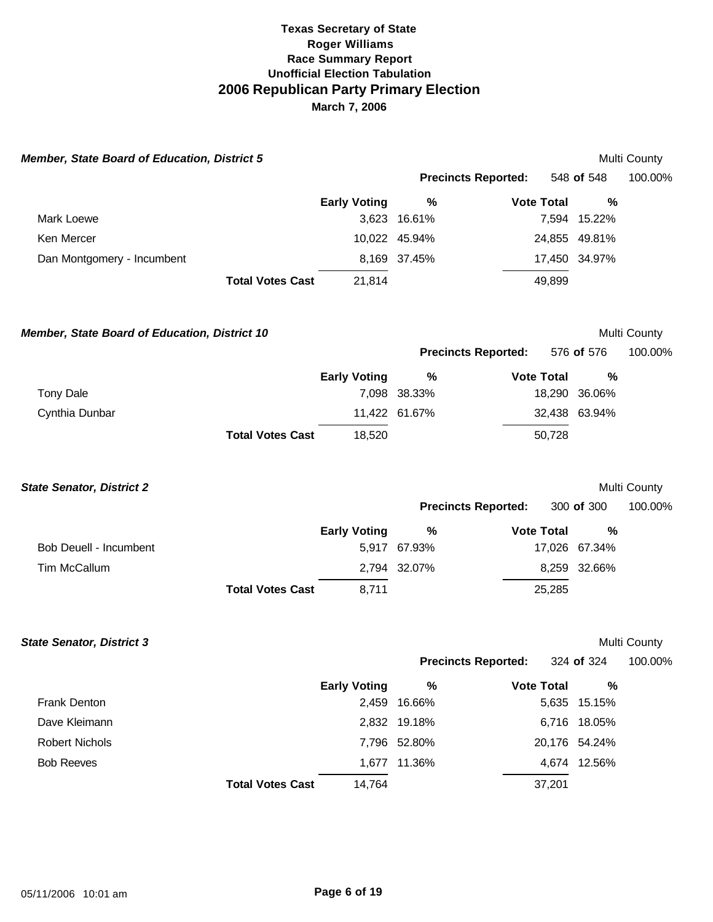| <b>Member, State Board of Education, District 5</b> |                         |                     |                            |                   |               | Multi County |
|-----------------------------------------------------|-------------------------|---------------------|----------------------------|-------------------|---------------|--------------|
|                                                     |                         |                     | <b>Precincts Reported:</b> |                   | 548 of 548    | 100.00%      |
|                                                     |                         | <b>Early Voting</b> | %                          | <b>Vote Total</b> | %             |              |
| Mark Loewe                                          |                         |                     | 3,623 16.61%               |                   | 7,594 15.22%  |              |
| Ken Mercer                                          |                         |                     | 10,022 45.94%              |                   | 24,855 49.81% |              |
| Dan Montgomery - Incumbent                          |                         |                     | 8,169 37.45%               |                   | 17,450 34.97% |              |
|                                                     | <b>Total Votes Cast</b> | 21,814              |                            | 49,899            |               |              |
| Member, State Board of Education, District 10       |                         |                     |                            |                   |               | Multi County |
|                                                     |                         |                     | <b>Precincts Reported:</b> |                   | 576 of 576    | 100.00%      |
|                                                     |                         | <b>Early Voting</b> | %                          | <b>Vote Total</b> | %             |              |
| <b>Tony Dale</b>                                    |                         |                     | 7,098 38.33%               |                   | 18,290 36.06% |              |
| Cynthia Dunbar                                      |                         |                     | 11,422 61.67%              |                   | 32,438 63.94% |              |
|                                                     | <b>Total Votes Cast</b> | 18,520              |                            | 50,728            |               |              |
| <b>State Senator, District 2</b>                    |                         |                     |                            |                   |               | Multi County |
|                                                     |                         |                     | <b>Precincts Reported:</b> |                   | 300 of 300    | 100.00%      |
|                                                     |                         | <b>Early Voting</b> | %                          | <b>Vote Total</b> | %             |              |
| Bob Deuell - Incumbent                              |                         |                     | 5,917 67.93%               |                   | 17,026 67.34% |              |
| Tim McCallum                                        |                         |                     | 2,794 32.07%               |                   | 8,259 32.66%  |              |
|                                                     | <b>Total Votes Cast</b> | 8,711               |                            | 25,285            |               |              |
| <b>State Senator, District 3</b>                    |                         |                     |                            |                   |               | Multi County |
|                                                     |                         |                     | <b>Precincts Reported:</b> |                   | 324 of 324    | 100.00%      |
|                                                     |                         | <b>Early Voting</b> | %                          | <b>Vote Total</b> | %             |              |
| Frank Denton                                        |                         |                     | 2,459 16.66%               | 5,635             | 15.15%        |              |
| Dave Kleimann                                       |                         |                     | 2,832 19.18%               |                   | 6,716 18.05%  |              |
| <b>Robert Nichols</b>                               |                         |                     | 7,796 52.80%               |                   | 20,176 54.24% |              |
| <b>Bob Reeves</b>                                   |                         |                     | 1,677 11.36%               |                   | 4,674 12.56%  |              |
|                                                     | <b>Total Votes Cast</b> | 14,764              |                            | 37,201            |               |              |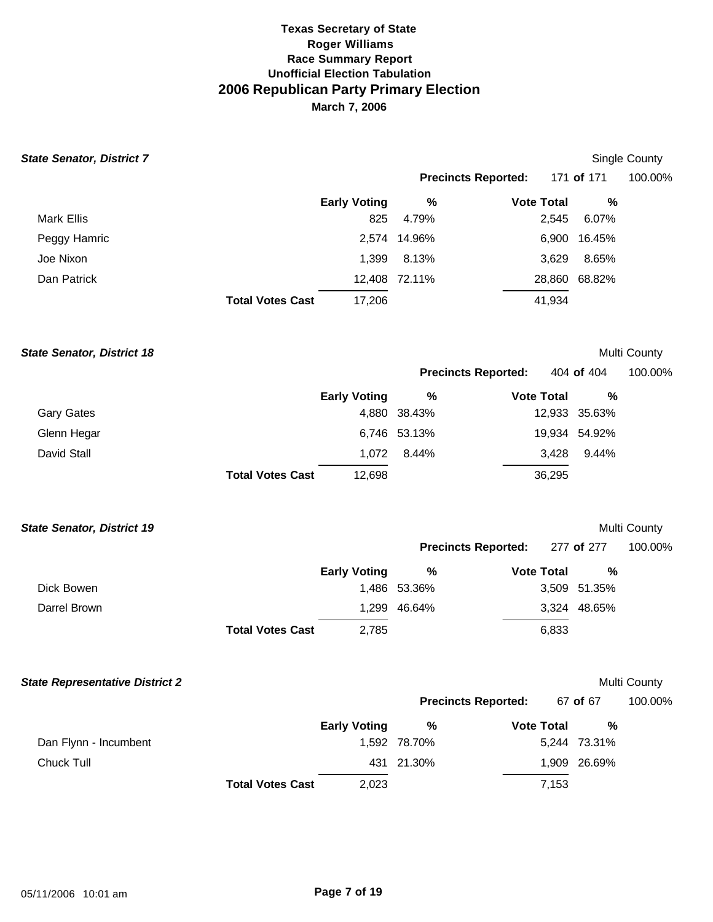| <b>State Senator, District 7</b>       |                         |                     |               |                            |        |               | Single County       |
|----------------------------------------|-------------------------|---------------------|---------------|----------------------------|--------|---------------|---------------------|
|                                        |                         |                     |               | <b>Precincts Reported:</b> |        | 171 of 171    | 100.00%             |
|                                        |                         | <b>Early Voting</b> | $\%$          | <b>Vote Total</b>          |        | %             |                     |
| <b>Mark Ellis</b>                      |                         | 825                 | 4.79%         |                            | 2,545  | 6.07%         |                     |
| Peggy Hamric                           |                         | 2,574               | 14.96%        |                            | 6,900  | 16.45%        |                     |
| Joe Nixon                              |                         | 1,399               | 8.13%         |                            | 3,629  | 8.65%         |                     |
| Dan Patrick                            |                         |                     | 12,408 72.11% |                            |        | 28,860 68.82% |                     |
|                                        | <b>Total Votes Cast</b> | 17,206              |               |                            | 41,934 |               |                     |
| <b>State Senator, District 18</b>      |                         |                     |               |                            |        |               | <b>Multi County</b> |
|                                        |                         |                     |               | <b>Precincts Reported:</b> |        | 404 of 404    | 100.00%             |
|                                        |                         | <b>Early Voting</b> | %             | <b>Vote Total</b>          |        | %             |                     |
| <b>Gary Gates</b>                      |                         |                     | 4,880 38.43%  |                            |        | 12,933 35.63% |                     |
| Glenn Hegar                            |                         |                     | 6,746 53.13%  |                            |        | 19,934 54.92% |                     |
| David Stall                            |                         | 1,072               | 8.44%         |                            | 3,428  | 9.44%         |                     |
|                                        | <b>Total Votes Cast</b> | 12,698              |               |                            | 36,295 |               |                     |
| <b>State Senator, District 19</b>      |                         |                     |               |                            |        |               | Multi County        |
|                                        |                         |                     |               | <b>Precincts Reported:</b> |        | 277 of 277    | 100.00%             |
|                                        |                         | <b>Early Voting</b> | $\%$          | <b>Vote Total</b>          |        | %             |                     |
| Dick Bowen                             |                         |                     | 1,486 53.36%  |                            |        | 3,509 51.35%  |                     |
| Darrel Brown                           |                         |                     | 1,299 46.64%  |                            |        | 3,324 48.65%  |                     |
|                                        | <b>Total Votes Cast</b> | 2,785               |               |                            | 6,833  |               |                     |
| <b>State Representative District 2</b> |                         |                     |               |                            |        |               | <b>Multi County</b> |
|                                        |                         |                     |               | <b>Precincts Reported:</b> |        | 67 of 67      | 100.00%             |

|                       |                         | <b>Early Voting</b> | %            | <b>Vote Total</b> | %            |
|-----------------------|-------------------------|---------------------|--------------|-------------------|--------------|
| Dan Flynn - Incumbent |                         |                     | 1,592 78.70% |                   | 5,244 73.31% |
| <b>Chuck Tull</b>     |                         |                     | 431 21.30%   |                   | 1,909 26.69% |
|                       | <b>Total Votes Cast</b> | 2,023               |              | 7,153             |              |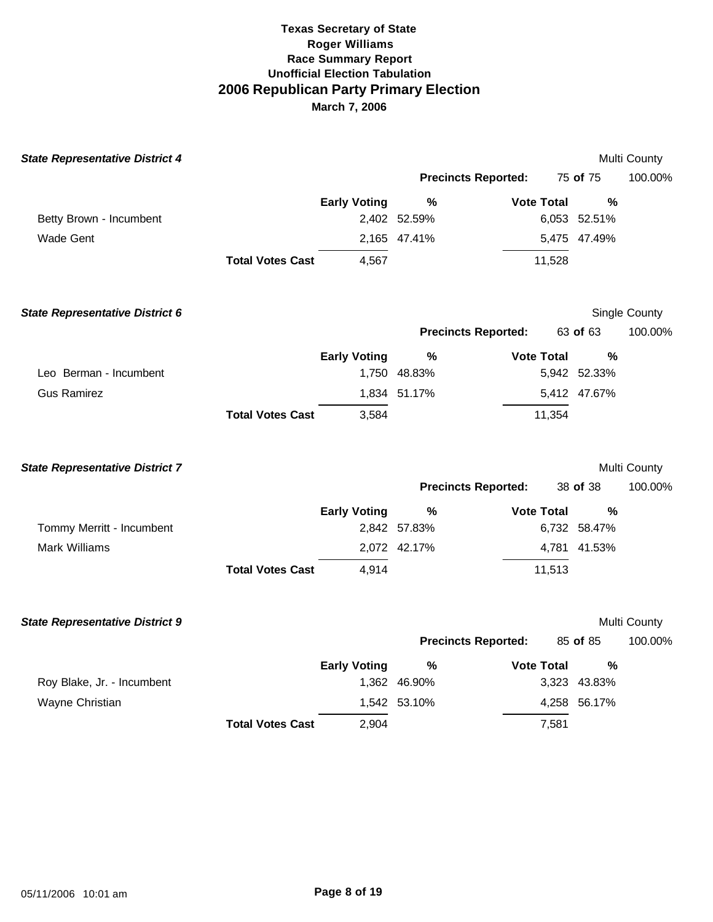| <b>State Representative District 4</b> |                         |                     |              |                            |        |               | Multi County  |
|----------------------------------------|-------------------------|---------------------|--------------|----------------------------|--------|---------------|---------------|
|                                        |                         |                     |              | <b>Precincts Reported:</b> |        | 75 of 75      | 100.00%       |
|                                        |                         | <b>Early Voting</b> | %            | <b>Vote Total</b>          |        | %             |               |
| Betty Brown - Incumbent                |                         |                     | 2,402 52.59% |                            |        | 6,053 52.51%  |               |
| <b>Wade Gent</b>                       |                         |                     | 2,165 47.41% |                            |        | 5,475 47.49%  |               |
|                                        | <b>Total Votes Cast</b> | 4,567               |              |                            | 11,528 |               |               |
| <b>State Representative District 6</b> |                         |                     |              |                            |        |               | Single County |
|                                        |                         |                     |              | <b>Precincts Reported:</b> |        | 63 of 63      | 100.00%       |
|                                        |                         | <b>Early Voting</b> | $\%$         | <b>Vote Total</b>          |        | $\frac{0}{0}$ |               |
| Leo Berman - Incumbent                 |                         |                     | 1,750 48.83% |                            |        | 5,942 52.33%  |               |
| <b>Gus Ramirez</b>                     |                         |                     | 1,834 51.17% |                            |        | 5,412 47.67%  |               |
|                                        | <b>Total Votes Cast</b> | 3,584               |              |                            | 11,354 |               |               |
| <b>State Representative District 7</b> |                         |                     |              |                            |        |               | Multi County  |
|                                        |                         |                     |              | <b>Precincts Reported:</b> |        | 38 of 38      | 100.00%       |
|                                        |                         | <b>Early Voting</b> | $\%$         | <b>Vote Total</b>          |        | %             |               |
| Tommy Merritt - Incumbent              |                         |                     | 2,842 57.83% |                            |        | 6,732 58.47%  |               |
| <b>Mark Williams</b>                   |                         |                     | 2,072 42.17% |                            |        | 4,781 41.53%  |               |
|                                        | <b>Total Votes Cast</b> | 4,914               |              |                            | 11,513 |               |               |
| <b>State Representative District 9</b> |                         |                     |              |                            |        |               | Multi County  |
|                                        |                         |                     |              | <b>Precincts Reported:</b> |        | 85 of 85      | 100.00%       |
|                                        |                         | <b>Early Voting</b> | $\%$         | <b>Vote Total</b>          |        | $\frac{0}{0}$ |               |
| Roy Blake, Jr. - Incumbent             |                         |                     | 1,362 46.90% |                            |        | 3,323 43.83%  |               |
| Wayne Christian                        |                         |                     | 1,542 53.10% |                            |        | 4,258 56.17%  |               |
|                                        | <b>Total Votes Cast</b> | 2,904               |              |                            | 7,581  |               |               |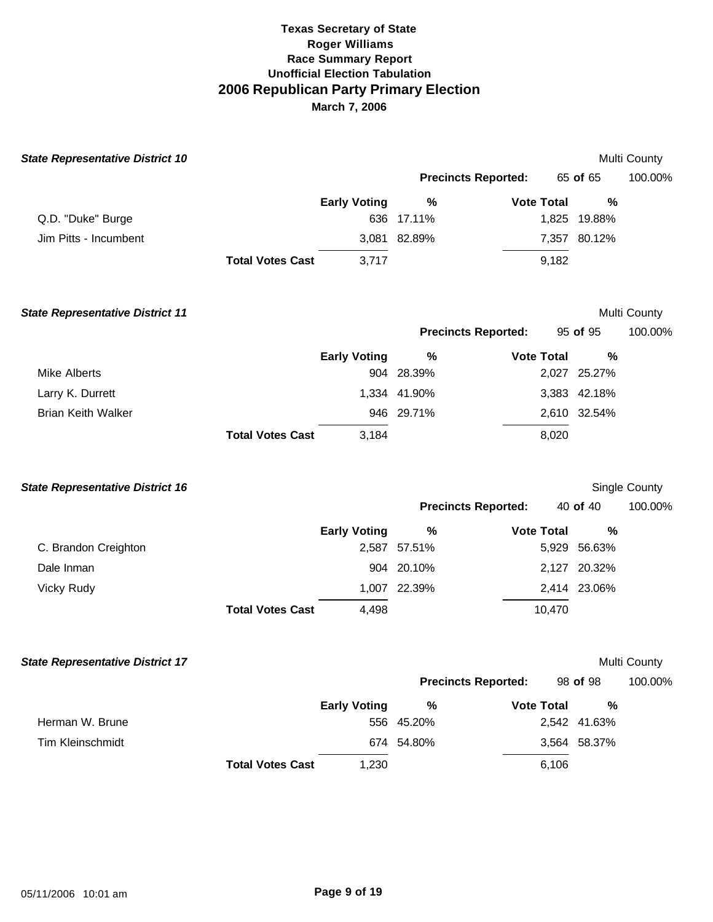| <b>State Representative District 10</b> |                         |                     |                            |                   |               | Multi County  |
|-----------------------------------------|-------------------------|---------------------|----------------------------|-------------------|---------------|---------------|
|                                         |                         |                     | <b>Precincts Reported:</b> |                   | 65 of 65      | 100.00%       |
|                                         |                         | <b>Early Voting</b> | $\%$                       | <b>Vote Total</b> | $\frac{0}{0}$ |               |
| Q.D. "Duke" Burge                       |                         |                     | 636 17.11%                 |                   | 1,825 19.88%  |               |
| Jim Pitts - Incumbent                   |                         |                     | 3,081 82.89%               |                   | 7,357 80.12%  |               |
|                                         | <b>Total Votes Cast</b> | 3,717               |                            |                   | 9,182         |               |
| <b>State Representative District 11</b> |                         |                     |                            |                   |               | Multi County  |
|                                         |                         |                     | <b>Precincts Reported:</b> |                   | 95 of 95      | 100.00%       |
|                                         |                         | <b>Early Voting</b> | %                          | <b>Vote Total</b> | %             |               |
| <b>Mike Alberts</b>                     |                         |                     | 904 28.39%                 |                   | 2,027 25.27%  |               |
| Larry K. Durrett                        |                         |                     | 1,334 41.90%               |                   | 3,383 42.18%  |               |
| <b>Brian Keith Walker</b>               |                         |                     | 946 29.71%                 |                   | 2,610 32.54%  |               |
|                                         | <b>Total Votes Cast</b> | 3,184               |                            | 8,020             |               |               |
| <b>State Representative District 16</b> |                         |                     |                            |                   |               | Single County |
|                                         |                         |                     | <b>Precincts Reported:</b> |                   | 40 of 40      | 100.00%       |
|                                         |                         | <b>Early Voting</b> | $\%$                       | <b>Vote Total</b> | $\frac{0}{0}$ |               |
| C. Brandon Creighton                    |                         |                     | 2,587 57.51%               |                   | 5,929 56.63%  |               |
| Dale Inman                              |                         |                     | 904 20.10%                 |                   | 2,127 20.32%  |               |
| <b>Vicky Rudy</b>                       |                         |                     | 1,007 22.39%               |                   | 2,414 23.06%  |               |
|                                         | <b>Total Votes Cast</b> | 4,498               |                            | 10,470            |               |               |
| <b>State Representative District 17</b> |                         |                     |                            |                   |               | Multi County  |
|                                         |                         |                     | <b>Precincts Reported:</b> |                   | 98 of 98      | 100.00%       |
|                                         |                         | <b>Early Voting</b> | %                          | <b>Vote Total</b> | $\%$          |               |
| Herman W. Brune                         |                         |                     | 556 45.20%                 |                   | 2,542 41.63%  |               |
| Tim Kleinschmidt                        |                         |                     | 674 54.80%                 |                   | 3,564 58.37%  |               |
|                                         | <b>Total Votes Cast</b> | 1,230               |                            |                   | 6,106         |               |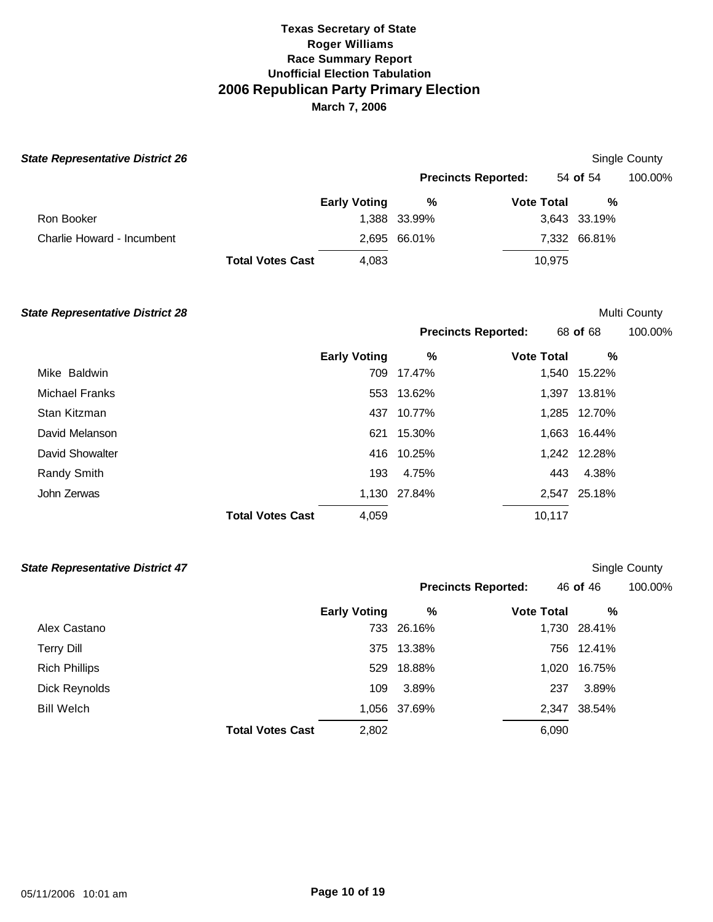| <b>State Representative District 26</b> |                         |                     |              |                            |              | Single County |
|-----------------------------------------|-------------------------|---------------------|--------------|----------------------------|--------------|---------------|
|                                         |                         |                     |              | <b>Precincts Reported:</b> | 54 of 54     | 100.00%       |
|                                         |                         | <b>Early Voting</b> | %            | <b>Vote Total</b>          | %            |               |
| Ron Booker                              |                         |                     | 1,388 33.99% |                            | 3,643 33.19% |               |
| Charlie Howard - Incumbent              |                         |                     | 2,695 66.01% |                            | 7,332 66.81% |               |
|                                         | <b>Total Votes Cast</b> | 4,083               |              | 10,975                     |              |               |

#### **State Representative District 28** Multi County **State Representative District 28** Multi County

|                 |                         |                     |              | <b>Precincts Reported:</b><br>68 of 68 |              | 100.00% |
|-----------------|-------------------------|---------------------|--------------|----------------------------------------|--------------|---------|
|                 |                         | <b>Early Voting</b> | %            | <b>Vote Total</b>                      | %            |         |
| Mike Baldwin    |                         | 709                 | 17.47%       |                                        | 1,540 15.22% |         |
| Michael Franks  |                         |                     | 553 13.62%   | 1,397                                  | 13.81%       |         |
| Stan Kitzman    |                         | 437                 | 10.77%       |                                        | 1,285 12.70% |         |
| David Melanson  |                         | 621                 | 15.30%       |                                        | 1,663 16.44% |         |
| David Showalter |                         | 416                 | 10.25%       |                                        | 1,242 12.28% |         |
| Randy Smith     |                         | 193                 | 4.75%        | 443                                    | 4.38%        |         |
| John Zerwas     |                         |                     | 1,130 27.84% |                                        | 2,547 25.18% |         |
|                 | <b>Total Votes Cast</b> | 4,059               |              | 10,117                                 |              |         |

| <b>State Representative District 47</b> |                         |                     |              |                            |       |              | Single County |
|-----------------------------------------|-------------------------|---------------------|--------------|----------------------------|-------|--------------|---------------|
|                                         |                         |                     |              | <b>Precincts Reported:</b> |       | 46 of 46     | 100.00%       |
|                                         |                         | <b>Early Voting</b> | %            | <b>Vote Total</b>          |       | %            |               |
| Alex Castano                            |                         |                     | 733 26.16%   |                            |       | 1,730 28.41% |               |
| <b>Terry Dill</b>                       |                         |                     | 375 13.38%   |                            |       | 756 12.41%   |               |
| <b>Rich Phillips</b>                    |                         |                     | 529 18.88%   |                            | 1,020 | 16.75%       |               |
| Dick Reynolds                           |                         | 109                 | 3.89%        |                            | 237   | 3.89%        |               |
| <b>Bill Welch</b>                       |                         |                     | 1,056 37.69% |                            |       | 2,347 38.54% |               |
|                                         | <b>Total Votes Cast</b> | 2,802               |              |                            | 6,090 |              |               |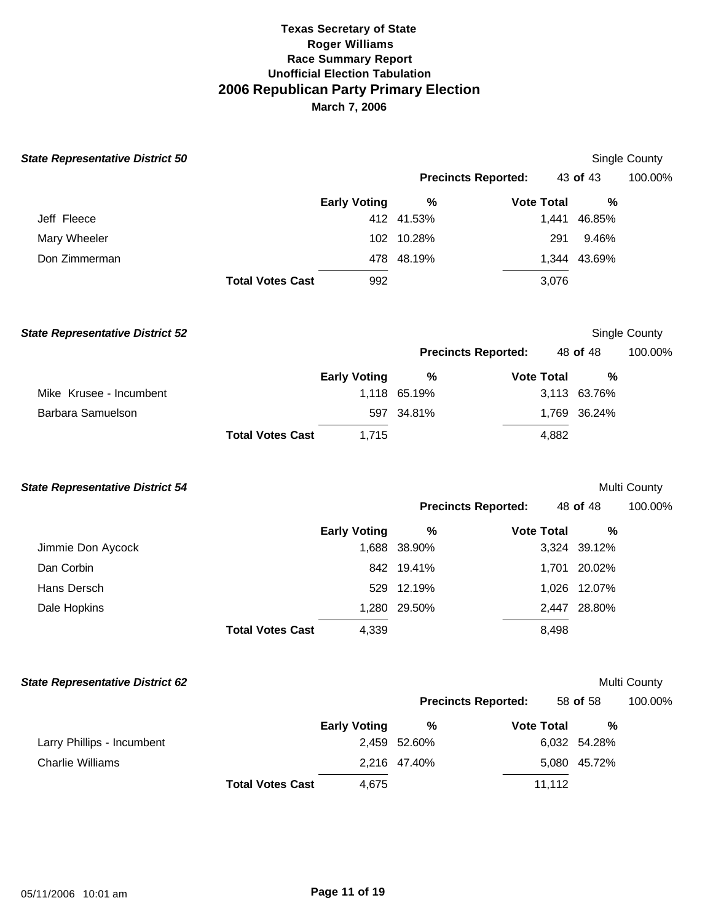| <b>State Representative District 50</b> |                         |                     |                            |                   |       |              | Single County |
|-----------------------------------------|-------------------------|---------------------|----------------------------|-------------------|-------|--------------|---------------|
|                                         |                         |                     | <b>Precincts Reported:</b> |                   |       | 43 of 43     | 100.00%       |
|                                         |                         | <b>Early Voting</b> | $\%$                       | <b>Vote Total</b> |       | %            |               |
| Jeff Fleece                             |                         |                     | 412 41.53%                 |                   | 1,441 | 46.85%       |               |
| Mary Wheeler                            |                         |                     | 102 10.28%                 |                   | 291   | 9.46%        |               |
| Don Zimmerman                           |                         |                     | 478 48.19%                 |                   |       | 1,344 43.69% |               |
|                                         | <b>Total Votes Cast</b> | 992                 |                            |                   | 3,076 |              |               |
| <b>State Representative District 52</b> |                         |                     |                            |                   |       |              | Single County |
|                                         |                         |                     | <b>Precincts Reported:</b> |                   |       | 48 of 48     | 100.00%       |
|                                         |                         | <b>Early Voting</b> | $\%$                       | <b>Vote Total</b> |       | %            |               |
| Mike Krusee - Incumbent                 |                         |                     | 1,118 65.19%               |                   |       | 3,113 63.76% |               |
| Barbara Samuelson                       |                         |                     | 597 34.81%                 |                   |       | 1,769 36.24% |               |
|                                         | <b>Total Votes Cast</b> | 1,715               |                            |                   | 4,882 |              |               |
|                                         |                         |                     |                            |                   |       |              |               |
| <b>State Representative District 54</b> |                         |                     |                            |                   |       |              | Multi County  |
|                                         |                         |                     | <b>Precincts Reported:</b> |                   |       | 48 of 48     | 100.00%       |
|                                         |                         | <b>Early Voting</b> | $\%$                       | <b>Vote Total</b> |       | %            |               |
| Jimmie Don Aycock                       |                         |                     | 1,688 38.90%               |                   |       | 3,324 39.12% |               |
| Dan Corbin                              |                         |                     | 842 19.41%                 |                   |       | 1,701 20.02% |               |
| Hans Dersch                             |                         |                     | 529 12.19%                 |                   |       | 1,026 12.07% |               |
| Dale Hopkins                            |                         |                     | 1,280 29.50%               |                   |       | 2,447 28.80% |               |
|                                         | <b>Total Votes Cast</b> | 4,339               |                            |                   | 8,498 |              |               |
| <b>State Representative District 62</b> |                         |                     |                            |                   |       |              | Multi County  |
|                                         |                         |                     | <b>Precincts Reported:</b> |                   |       | 58 of 58     | 100.00%       |
|                                         |                         | <b>Early Voting</b> | $\%$                       | <b>Vote Total</b> |       | $\%$         |               |
| Larry Phillips - Incumbent              |                         |                     | 2,459 52.60%               |                   |       | 6,032 54.28% |               |
| <b>Charlie Williams</b>                 |                         |                     | 2,216 47.40%               |                   |       | 5,080 45.72% |               |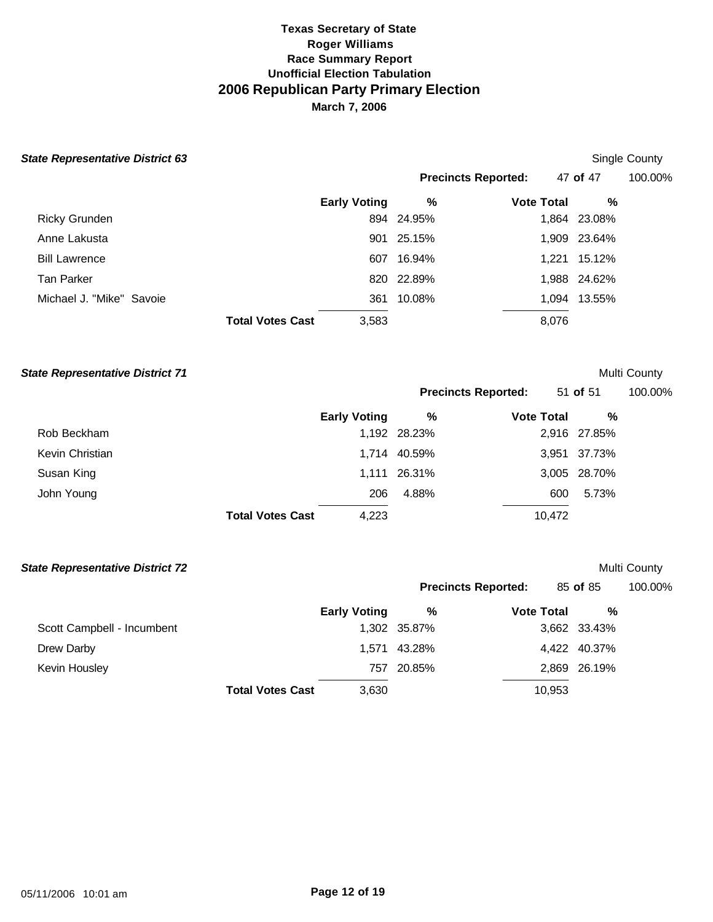#### **State Representative District 63**

| Single County |  |
|---------------|--|
|---------------|--|

|                          |                         |                     |            | <b>Precincts Reported:</b> |       | 47 of 47     | 100.00% |
|--------------------------|-------------------------|---------------------|------------|----------------------------|-------|--------------|---------|
|                          |                         | <b>Early Voting</b> | %          | <b>Vote Total</b>          |       | %            |         |
| <b>Ricky Grunden</b>     |                         |                     | 894 24.95% |                            |       | 1,864 23.08% |         |
| Anne Lakusta             |                         | 901                 | 25.15%     |                            |       | 1,909 23.64% |         |
| <b>Bill Lawrence</b>     |                         | 607                 | 16.94%     |                            | 1.221 | 15.12%       |         |
| Tan Parker               |                         |                     | 820 22.89% |                            |       | 1,988 24.62% |         |
| Michael J. "Mike" Savoie |                         | 361                 | 10.08%     |                            | 1,094 | 13.55%       |         |
|                          | <b>Total Votes Cast</b> | 3,583               |            |                            | 8,076 |              |         |

#### **State Representative District 71** Multi County

|                 |                         |                     | <b>Precincts Reported:</b> |                   | 51 of 51 |              | 100.00% |
|-----------------|-------------------------|---------------------|----------------------------|-------------------|----------|--------------|---------|
|                 |                         | <b>Early Voting</b> | %                          | <b>Vote Total</b> |          | %            |         |
| Rob Beckham     |                         |                     | 1,192 28.23%               |                   |          | 2,916 27.85% |         |
| Kevin Christian |                         |                     | 1,714 40.59%               |                   |          | 3,951 37.73% |         |
| Susan King      |                         |                     | 1,111 26.31%               |                   |          | 3,005 28.70% |         |
| John Young      |                         | 206                 | 4.88%                      |                   | 600      | 5.73%        |         |
|                 | <b>Total Votes Cast</b> | 4,223               |                            |                   | 10.472   |              |         |

| <b>State Representative District 72</b> |                         |                     |              |                                        |              | Multi County |
|-----------------------------------------|-------------------------|---------------------|--------------|----------------------------------------|--------------|--------------|
|                                         |                         |                     |              | <b>Precincts Reported:</b><br>85 of 85 |              | 100.00%      |
|                                         |                         | <b>Early Voting</b> | %            | <b>Vote Total</b>                      | %            |              |
| Scott Campbell - Incumbent              |                         |                     | 1,302 35.87% |                                        | 3,662 33.43% |              |
| Drew Darby                              |                         | 1.571               | 43.28%       |                                        | 4,422 40.37% |              |
| Kevin Housley                           |                         | 757.                | 20.85%       |                                        | 2,869 26.19% |              |
|                                         | <b>Total Votes Cast</b> | 3,630               |              | 10,953                                 |              |              |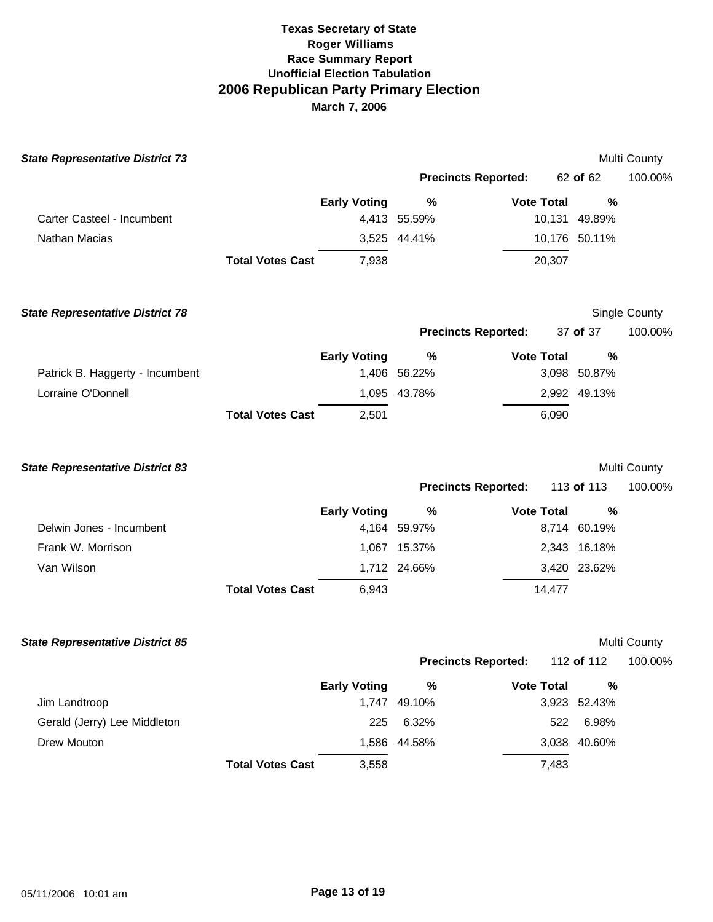| <b>State Representative District 73</b> |                         |                     |                            |                   |        |                   | Multi County  |
|-----------------------------------------|-------------------------|---------------------|----------------------------|-------------------|--------|-------------------|---------------|
|                                         |                         |                     | <b>Precincts Reported:</b> |                   |        | 62 of 62          | 100.00%       |
|                                         |                         | <b>Early Voting</b> | $\%$                       | <b>Vote Total</b> |        | %                 |               |
| Carter Casteel - Incumbent              |                         |                     | 4,413 55.59%               |                   |        | 10,131 49.89%     |               |
| Nathan Macias                           |                         |                     | 3,525 44.41%               |                   |        | 10,176 50.11%     |               |
|                                         | <b>Total Votes Cast</b> | 7,938               |                            |                   | 20,307 |                   |               |
| <b>State Representative District 78</b> |                         |                     |                            |                   |        |                   | Single County |
|                                         |                         |                     | <b>Precincts Reported:</b> |                   |        | 37 of 37          | 100.00%       |
|                                         |                         | <b>Early Voting</b> | $\%$                       | <b>Vote Total</b> |        | %                 |               |
| Patrick B. Haggerty - Incumbent         |                         |                     | 1,406 56.22%               |                   |        | 3,098 50.87%      |               |
| Lorraine O'Donnell                      |                         |                     | 1,095 43.78%               |                   |        | 2,992 49.13%      |               |
|                                         | <b>Total Votes Cast</b> | 2,501               |                            |                   | 6,090  |                   |               |
| <b>State Representative District 83</b> |                         |                     |                            |                   |        |                   | Multi County  |
|                                         |                         |                     | <b>Precincts Reported:</b> |                   |        | 113 of 113        | 100.00%       |
|                                         |                         | <b>Early Voting</b> | $\%$                       | <b>Vote Total</b> |        | %                 |               |
| Delwin Jones - Incumbent                |                         |                     | 4,164 59.97%               |                   |        | 8,714 60.19%      |               |
| Frank W. Morrison                       |                         |                     | 1,067 15.37%               |                   |        | 2,343 16.18%      |               |
| Van Wilson                              |                         |                     | 1,712 24.66%               |                   |        | 3,420 23.62%      |               |
|                                         | <b>Total Votes Cast</b> | 6,943               |                            |                   | 14,477 |                   |               |
| <b>State Representative District 85</b> |                         |                     |                            |                   |        |                   | Multi County  |
|                                         |                         |                     | <b>Precincts Reported:</b> |                   |        | 112 of 112        | 100.00%       |
| Jim Landtroop                           |                         | <b>Early Voting</b> | %<br>1,747 49.10%          | <b>Vote Total</b> |        | %<br>3,923 52.43% |               |
| Gerald (Jerry) Lee Middleton            |                         | 225                 | 6.32%                      |                   | 522    | 6.98%             |               |
| Drew Mouton                             |                         |                     | 1,586 44.58%               |                   | 3,038  | 40.60%            |               |
|                                         | <b>Total Votes Cast</b> | 3,558               |                            |                   | 7,483  |                   |               |
|                                         |                         |                     |                            |                   |        |                   |               |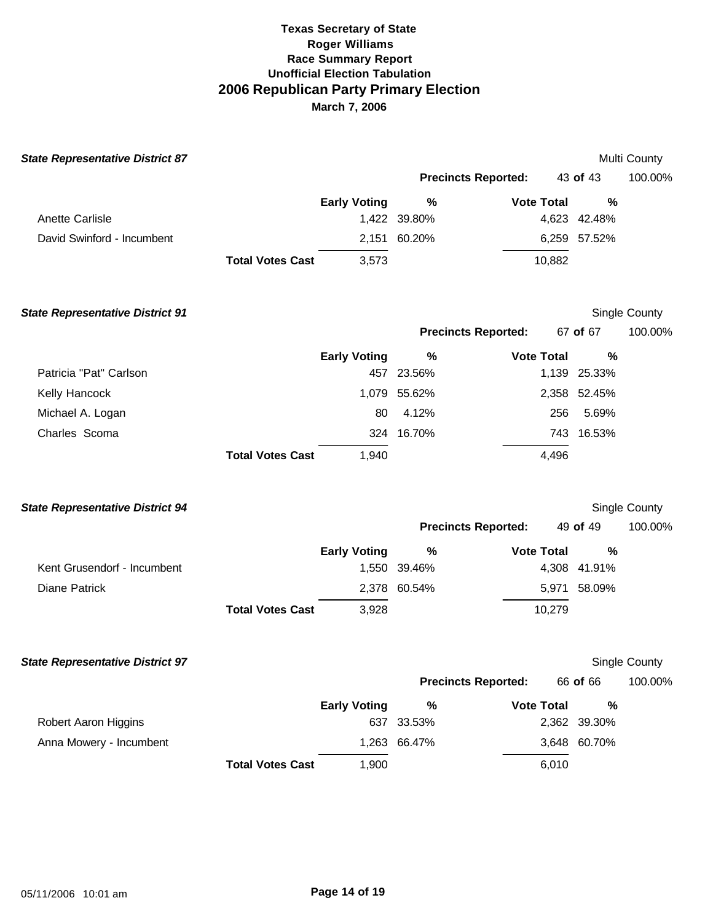| <b>State Representative District 87</b> |                         |                     |                            |                   |                 | Multi County  |
|-----------------------------------------|-------------------------|---------------------|----------------------------|-------------------|-----------------|---------------|
|                                         |                         |                     | <b>Precincts Reported:</b> |                   | 43 of 43        | 100.00%       |
|                                         |                         | <b>Early Voting</b> | %                          | <b>Vote Total</b> | %               |               |
| Anette Carlisle                         |                         |                     | 1,422 39.80%               |                   | 4,623 42.48%    |               |
| David Swinford - Incumbent              |                         |                     | 2,151 60.20%               |                   | 6,259 57.52%    |               |
|                                         | <b>Total Votes Cast</b> | 3,573               |                            | 10,882            |                 |               |
| <b>State Representative District 91</b> |                         |                     |                            |                   |                 | Single County |
|                                         |                         |                     | <b>Precincts Reported:</b> |                   | 67 of 67        | 100.00%       |
|                                         |                         | <b>Early Voting</b> | $\%$                       | <b>Vote Total</b> | %               |               |
| Patricia "Pat" Carlson                  |                         |                     | 457 23.56%                 |                   | 1,139 25.33%    |               |
| Kelly Hancock                           |                         |                     | 1,079 55.62%               |                   | 2,358 52.45%    |               |
| Michael A. Logan                        |                         | 80                  | 4.12%                      |                   | 5.69%<br>256    |               |
| Charles Scoma                           |                         |                     | 324 16.70%                 |                   | 16.53%<br>743   |               |
|                                         | <b>Total Votes Cast</b> | 1,940               |                            | 4,496             |                 |               |
| <b>State Representative District 94</b> |                         |                     |                            |                   |                 | Single County |
|                                         |                         |                     | <b>Precincts Reported:</b> |                   | 49 of 49        | 100.00%       |
|                                         |                         | <b>Early Voting</b> | %                          | <b>Vote Total</b> | %               |               |
| Kent Grusendorf - Incumbent             |                         |                     | 1,550 39.46%               |                   | 4,308 41.91%    |               |
| <b>Diane Patrick</b>                    |                         |                     | 2,378 60.54%               |                   | 58.09%<br>5,971 |               |
|                                         | <b>Total Votes Cast</b> | 3,928               |                            | 10,279            |                 |               |
| <b>State Representative District 97</b> |                         |                     |                            |                   |                 | Single County |
|                                         |                         |                     | <b>Precincts Reported:</b> |                   | 66 of 66        | 100.00%       |
|                                         |                         | <b>Early Voting</b> | %                          | <b>Vote Total</b> | %               |               |
| Robert Aaron Higgins                    |                         |                     | 637 33.53%                 |                   | 2,362 39.30%    |               |
| Anna Mowery - Incumbent                 |                         |                     | 1,263 66.47%               |                   | 3,648 60.70%    |               |
|                                         | <b>Total Votes Cast</b> | 1,900               |                            | 6,010             |                 |               |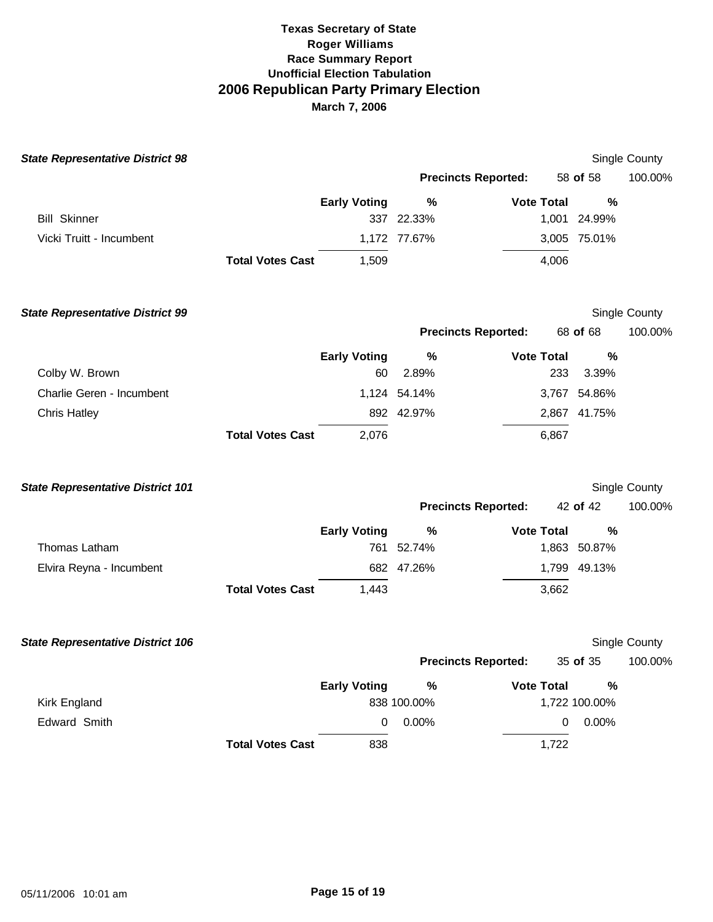| <b>State Representative District 98</b>  |                         |                     |              |                            |                   |               | Single County |
|------------------------------------------|-------------------------|---------------------|--------------|----------------------------|-------------------|---------------|---------------|
|                                          |                         |                     |              | <b>Precincts Reported:</b> |                   | 58 of 58      | 100.00%       |
|                                          |                         | <b>Early Voting</b> | $\%$         |                            | <b>Vote Total</b> | %             |               |
| <b>Bill Skinner</b>                      |                         |                     | 337 22.33%   |                            |                   | 1,001 24.99%  |               |
| Vicki Truitt - Incumbent                 |                         |                     | 1,172 77.67% |                            |                   | 3,005 75.01%  |               |
|                                          | <b>Total Votes Cast</b> | 1,509               |              |                            | 4,006             |               |               |
| <b>State Representative District 99</b>  |                         |                     |              |                            |                   |               | Single County |
|                                          |                         |                     |              | <b>Precincts Reported:</b> |                   | 68 of 68      | 100.00%       |
|                                          |                         | <b>Early Voting</b> | $\%$         |                            | <b>Vote Total</b> | %             |               |
| Colby W. Brown                           |                         | 60                  | 2.89%        |                            | 233               | 3.39%         |               |
| Charlie Geren - Incumbent                |                         |                     | 1,124 54.14% |                            |                   | 3,767 54.86%  |               |
| <b>Chris Hatley</b>                      |                         |                     | 892 42.97%   |                            |                   | 2,867 41.75%  |               |
|                                          | <b>Total Votes Cast</b> | 2,076               |              |                            | 6,867             |               |               |
| <b>State Representative District 101</b> |                         |                     |              |                            |                   |               | Single County |
|                                          |                         |                     |              | <b>Precincts Reported:</b> |                   | 42 of 42      | 100.00%       |
|                                          |                         | <b>Early Voting</b> | %            |                            | <b>Vote Total</b> | %             |               |
| Thomas Latham                            |                         |                     | 761 52.74%   |                            |                   | 1,863 50.87%  |               |
| Elvira Reyna - Incumbent                 |                         |                     | 682 47.26%   |                            |                   | 1,799 49.13%  |               |
|                                          | <b>Total Votes Cast</b> | 1,443               |              |                            | 3,662             |               |               |
| <b>State Representative District 106</b> |                         |                     |              |                            |                   |               | Single County |
|                                          |                         |                     |              | <b>Precincts Reported:</b> |                   | 35 of 35      | 100.00%       |
|                                          |                         | <b>Early Voting</b> | $\%$         |                            | <b>Vote Total</b> | %             |               |
| Kirk England                             |                         |                     | 838 100.00%  |                            |                   | 1,722 100.00% |               |
| Edward Smith                             |                         | 0                   | 0.00%        |                            | $\pmb{0}$         | 0.00%         |               |
|                                          | <b>Total Votes Cast</b> | 838                 |              |                            | 1,722             |               |               |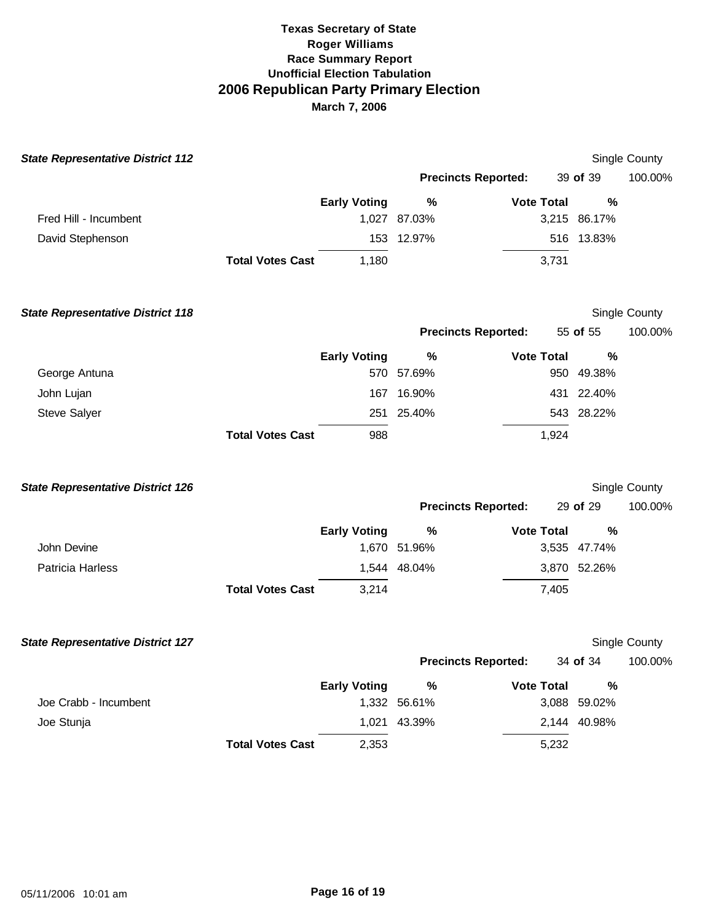| <b>State Representative District 112</b> |                         |                     |                            |                   |               | Single County |
|------------------------------------------|-------------------------|---------------------|----------------------------|-------------------|---------------|---------------|
|                                          |                         |                     | <b>Precincts Reported:</b> |                   | 39 of 39      | 100.00%       |
|                                          |                         | <b>Early Voting</b> | $\%$                       | <b>Vote Total</b> | $\frac{0}{0}$ |               |
| Fred Hill - Incumbent                    |                         |                     | 1,027 87.03%               |                   | 3,215 86.17%  |               |
| David Stephenson                         |                         |                     | 153 12.97%                 |                   | 516 13.83%    |               |
|                                          | <b>Total Votes Cast</b> | 1,180               |                            | 3,731             |               |               |
| <b>State Representative District 118</b> |                         |                     |                            |                   |               | Single County |
|                                          |                         |                     | <b>Precincts Reported:</b> |                   | 55 of 55      | 100.00%       |
|                                          |                         | <b>Early Voting</b> | $\frac{0}{0}$              | <b>Vote Total</b> | $\frac{0}{0}$ |               |
| George Antuna                            |                         |                     | 570 57.69%                 |                   | 950 49.38%    |               |
| John Lujan                               |                         |                     | 167 16.90%                 |                   | 431 22.40%    |               |
| Steve Salyer                             |                         | 251                 | 25.40%                     |                   | 543 28.22%    |               |
|                                          | <b>Total Votes Cast</b> | 988                 |                            | 1,924             |               |               |
| <b>State Representative District 126</b> |                         |                     |                            |                   |               | Single County |
|                                          |                         |                     | <b>Precincts Reported:</b> |                   | 29 of 29      | 100.00%       |
|                                          |                         | <b>Early Voting</b> | %                          | <b>Vote Total</b> | %             |               |
| John Devine                              |                         |                     | 1,670 51.96%               |                   | 3,535 47.74%  |               |
| Patricia Harless                         |                         |                     | 1,544 48.04%               |                   | 3,870 52.26%  |               |
|                                          | <b>Total Votes Cast</b> | 3,214               |                            | 7,405             |               |               |
| <b>State Representative District 127</b> |                         |                     |                            |                   |               | Single County |
|                                          |                         |                     | <b>Precincts Reported:</b> |                   | 34 of 34      | 100.00%       |
|                                          |                         | <b>Early Voting</b> | $\%$                       | <b>Vote Total</b> | $\frac{0}{0}$ |               |
| Joe Crabb - Incumbent                    |                         |                     | 1,332 56.61%               |                   | 3,088 59.02%  |               |
| Joe Stunja                               |                         |                     | 1,021 43.39%               |                   | 2,144 40.98%  |               |
|                                          | <b>Total Votes Cast</b> | 2,353               |                            | 5,232             |               |               |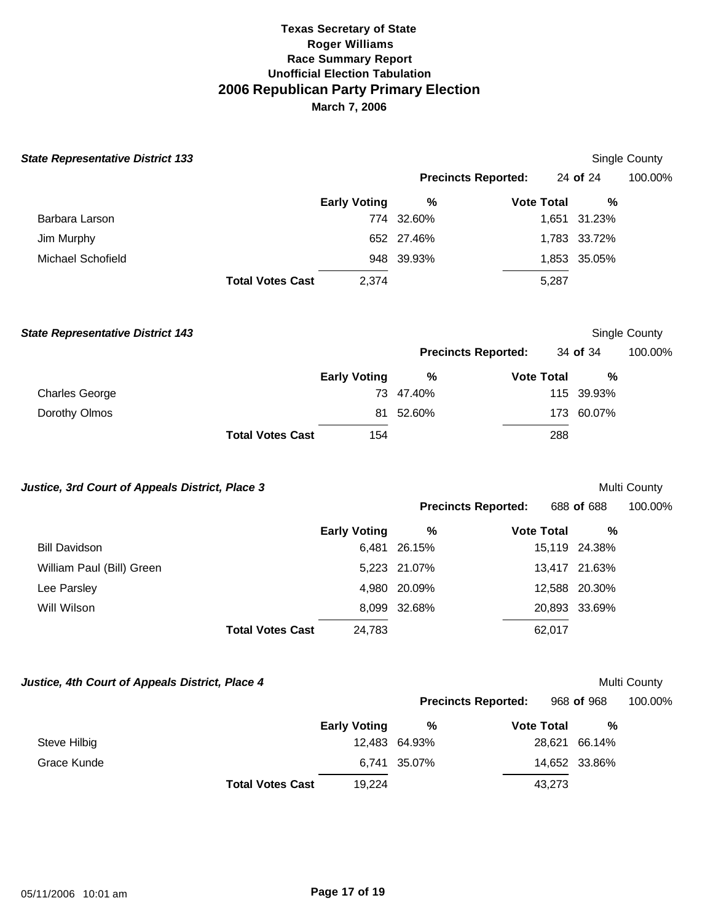| <b>State Representative District 133</b>        |                         |                     |                            |                   |               | Single County           |
|-------------------------------------------------|-------------------------|---------------------|----------------------------|-------------------|---------------|-------------------------|
|                                                 |                         |                     | <b>Precincts Reported:</b> |                   | 24 of 24      | 100.00%                 |
|                                                 |                         | <b>Early Voting</b> | $\%$                       | <b>Vote Total</b> | $\frac{0}{0}$ |                         |
| Barbara Larson                                  |                         |                     | 774 32.60%                 |                   | 1,651 31.23%  |                         |
| Jim Murphy                                      |                         |                     | 652 27.46%                 |                   | 1,783 33.72%  |                         |
| Michael Schofield                               |                         |                     | 948 39.93%                 |                   | 1,853 35.05%  |                         |
|                                                 | <b>Total Votes Cast</b> | 2,374               |                            | 5,287             |               |                         |
| <b>State Representative District 143</b>        |                         |                     |                            |                   |               | Single County           |
|                                                 |                         |                     | <b>Precincts Reported:</b> |                   | 34 of 34      | 100.00%                 |
|                                                 |                         | <b>Early Voting</b> | %                          | <b>Vote Total</b> | $\frac{0}{0}$ |                         |
| <b>Charles George</b>                           |                         |                     | 73 47.40%                  |                   | 115 39.93%    |                         |
| Dorothy Olmos                                   |                         | 81                  | 52.60%                     |                   | 173 60.07%    |                         |
|                                                 | <b>Total Votes Cast</b> | 154                 |                            | 288               |               |                         |
|                                                 |                         |                     |                            |                   |               |                         |
|                                                 |                         |                     |                            |                   |               |                         |
| Justice, 3rd Court of Appeals District, Place 3 |                         |                     | <b>Precincts Reported:</b> |                   | 688 of 688    | Multi County<br>100.00% |
|                                                 |                         | <b>Early Voting</b> | %                          | <b>Vote Total</b> | %             |                         |
| <b>Bill Davidson</b>                            |                         |                     | 6,481 26.15%               |                   | 15,119 24.38% |                         |
| William Paul (Bill) Green                       |                         |                     | 5,223 21.07%               |                   | 13,417 21.63% |                         |
| Lee Parsley                                     |                         |                     | 4,980 20.09%               |                   | 12,588 20.30% |                         |
| Will Wilson                                     |                         |                     | 8,099 32.68%               |                   | 20,893 33.69% |                         |
|                                                 | <b>Total Votes Cast</b> | 24,783              |                            | 62,017            |               |                         |
| Justice, 4th Court of Appeals District, Place 4 |                         |                     |                            |                   |               | Multi County            |
|                                                 |                         |                     | <b>Precincts Reported:</b> |                   | 968 of 968    | 100.00%                 |
|                                                 |                         | <b>Early Voting</b> | $\%$                       | <b>Vote Total</b> | $\%$          |                         |
| <b>Steve Hilbig</b>                             |                         |                     | 12,483 64.93%              | 28,621            | 66.14%        |                         |
| Grace Kunde                                     |                         |                     | 6,741 35.07%               |                   | 14,652 33.86% |                         |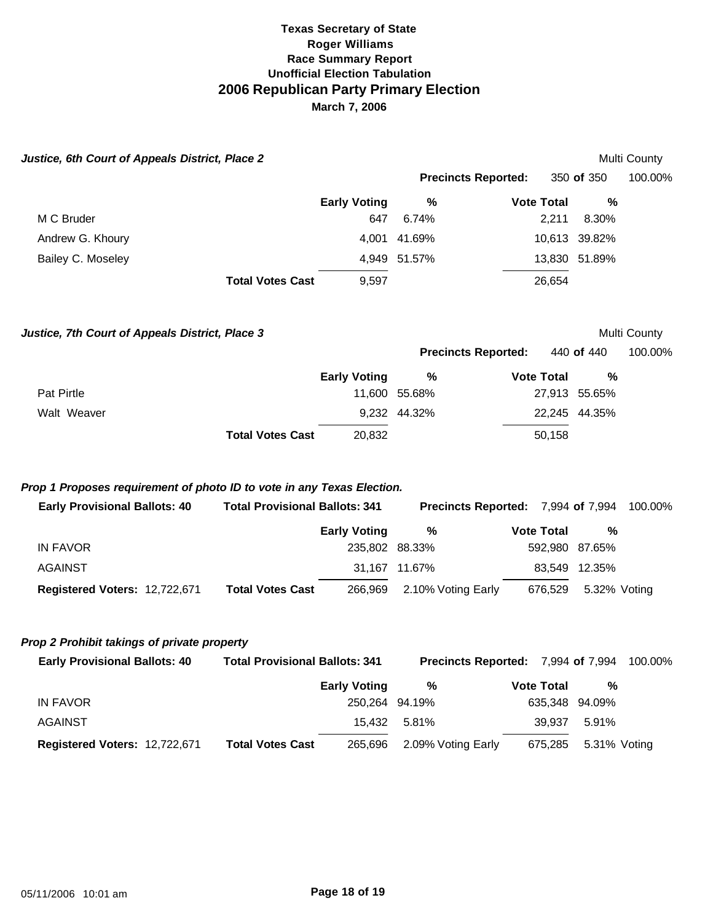| Justice, 6th Court of Appeals District, Place 2                        |                                       |                     |                                    |                   |                | Multi County |
|------------------------------------------------------------------------|---------------------------------------|---------------------|------------------------------------|-------------------|----------------|--------------|
|                                                                        |                                       |                     | <b>Precincts Reported:</b>         |                   | 350 of 350     | 100.00%      |
|                                                                        |                                       | <b>Early Voting</b> | $\%$                               | <b>Vote Total</b> | %              |              |
| M C Bruder                                                             |                                       | 647                 | 6.74%                              | 2,211             | 8.30%          |              |
| Andrew G. Khoury                                                       |                                       |                     | 4,001 41.69%                       |                   | 10,613 39.82%  |              |
| Bailey C. Moseley                                                      |                                       |                     | 4,949 51.57%                       |                   | 13,830 51.89%  |              |
|                                                                        | <b>Total Votes Cast</b>               | 9,597               |                                    | 26,654            |                |              |
| Justice, 7th Court of Appeals District, Place 3                        |                                       |                     |                                    |                   |                | Multi County |
|                                                                        |                                       |                     | <b>Precincts Reported:</b>         |                   | 440 of 440     | 100.00%      |
|                                                                        |                                       | <b>Early Voting</b> | %                                  | <b>Vote Total</b> | %              |              |
| Pat Pirtle                                                             |                                       |                     | 11,600 55.68%                      |                   | 27,913 55.65%  |              |
| Walt Weaver                                                            |                                       |                     | 9,232 44.32%                       |                   | 22,245 44.35%  |              |
|                                                                        | <b>Total Votes Cast</b>               | 20,832              |                                    | 50,158            |                |              |
| Prop 1 Proposes requirement of photo ID to vote in any Texas Election. |                                       |                     |                                    |                   |                |              |
| <b>Early Provisional Ballots: 40</b>                                   | <b>Total Provisional Ballots: 341</b> |                     | Precincts Reported: 7,994 of 7,994 |                   |                | 100.00%      |
|                                                                        |                                       | <b>Early Voting</b> | $\%$                               | <b>Vote Total</b> | %              |              |
| <b>IN FAVOR</b>                                                        |                                       | 235,802 88.33%      |                                    |                   | 592,980 87.65% |              |
| <b>AGAINST</b>                                                         |                                       |                     | 31,167 11.67%                      |                   | 83,549 12.35%  |              |
| Registered Voters: 12,722,671                                          | <b>Total Votes Cast</b>               | 266,969             | 2.10% Voting Early                 | 676,529           |                | 5.32% Voting |
| Prop 2 Prohibit takings of private property                            |                                       |                     |                                    |                   |                |              |
| <b>Early Provisional Ballots: 40</b>                                   | <b>Total Provisional Ballots: 341</b> |                     | <b>Precincts Reported:</b>         |                   | 7,994 of 7,994 | 100.00%      |
|                                                                        |                                       | <b>Early Voting</b> | $\%$                               | <b>Vote Total</b> | %              |              |
| <b>IN FAVOR</b>                                                        |                                       | 250,264 94.19%      |                                    | 635,348           | 94.09%         |              |
| <b>AGAINST</b>                                                         |                                       | 15,432              | 5.81%                              | 39,937            | 5.91%          |              |
| Registered Voters: 12,722,671                                          | <b>Total Votes Cast</b>               | 265,696             | 2.09% Voting Early                 | 675,285           |                | 5.31% Voting |